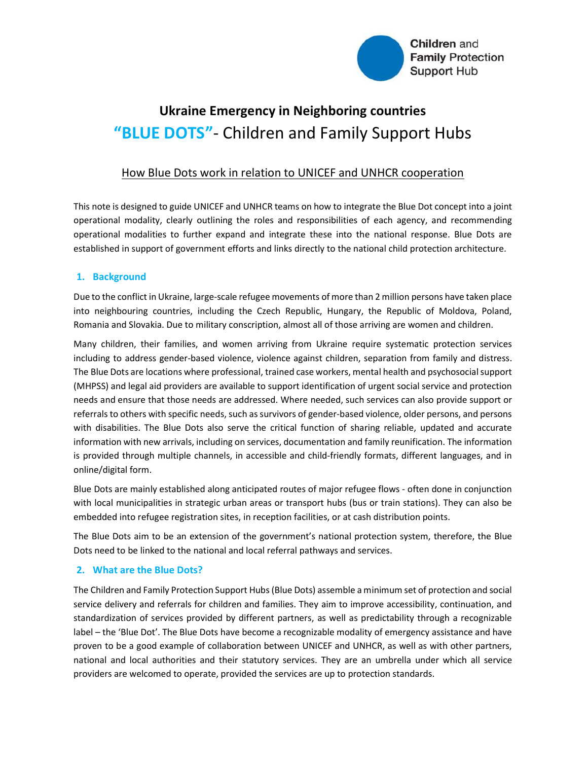

# Ukraine Emergency in Neighboring countries "BLUE DOTS" - Children and Family Support Hubs

## How Blue Dots work in relation to UNICEF and UNHCR cooperation

This note is designed to guide UNICEF and UNHCR teams on how to integrate the Blue Dot concept into a joint operational modality, clearly outlining the roles and responsibilities of each agency, and recommending operational modalities to further expand and integrate these into the national response. Blue Dots are established in support of government efforts and links directly to the national child protection architecture.

#### 1. Background

Due to the conflict in Ukraine, large-scale refugee movements of more than 2 million persons have taken place into neighbouring countries, including the Czech Republic, Hungary, the Republic of Moldova, Poland, Romania and Slovakia. Due to military conscription, almost all of those arriving are women and children.

Many children, their families, and women arriving from Ukraine require systematic protection services including to address gender-based violence, violence against children, separation from family and distress. The Blue Dots are locations where professional, trained case workers, mental health and psychosocial support (MHPSS) and legal aid providers are available to support identification of urgent social service and protection needs and ensure that those needs are addressed. Where needed, such services can also provide support or referrals to others with specific needs, such as survivors of gender-based violence, older persons, and persons with disabilities. The Blue Dots also serve the critical function of sharing reliable, updated and accurate information with new arrivals, including on services, documentation and family reunification. The information is provided through multiple channels, in accessible and child-friendly formats, different languages, and in online/digital form.

Blue Dots are mainly established along anticipated routes of major refugee flows - often done in conjunction with local municipalities in strategic urban areas or transport hubs (bus or train stations). They can also be embedded into refugee registration sites, in reception facilities, or at cash distribution points.

The Blue Dots aim to be an extension of the government's national protection system, therefore, the Blue Dots need to be linked to the national and local referral pathways and services.

### 2. What are the Blue Dots?

The Children and Family Protection Support Hubs (Blue Dots) assemble a minimum set of protection and social service delivery and referrals for children and families. They aim to improve accessibility, continuation, and standardization of services provided by different partners, as well as predictability through a recognizable label – the 'Blue Dot'. The Blue Dots have become a recognizable modality of emergency assistance and have proven to be a good example of collaboration between UNICEF and UNHCR, as well as with other partners, national and local authorities and their statutory services. They are an umbrella under which all service providers are welcomed to operate, provided the services are up to protection standards.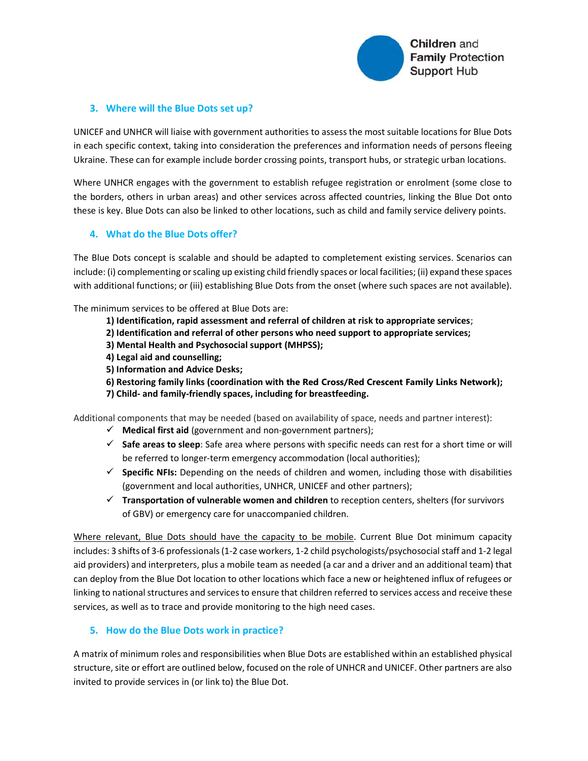

#### 3. Where will the Blue Dots set up?

UNICEF and UNHCR will liaise with government authorities to assess the most suitable locations for Blue Dots in each specific context, taking into consideration the preferences and information needs of persons fleeing Ukraine. These can for example include border crossing points, transport hubs, or strategic urban locations.

Where UNHCR engages with the government to establish refugee registration or enrolment (some close to the borders, others in urban areas) and other services across affected countries, linking the Blue Dot onto these is key. Blue Dots can also be linked to other locations, such as child and family service delivery points.

#### 4. What do the Blue Dots offer?

The Blue Dots concept is scalable and should be adapted to completement existing services. Scenarios can include: (i) complementing or scaling up existing child friendly spaces or local facilities; (ii) expand these spaces with additional functions; or (iii) establishing Blue Dots from the onset (where such spaces are not available).

The minimum services to be offered at Blue Dots are:

- 1) Identification, rapid assessment and referral of children at risk to appropriate services;
- 2) Identification and referral of other persons who need support to appropriate services;
- 3) Mental Health and Psychosocial support (MHPSS);
- 4) Legal aid and counselling;
- 5) Information and Advice Desks;
- 6) Restoring family links (coordination with the Red Cross/Red Crescent Family Links Network);
- 7) Child- and family-friendly spaces, including for breastfeeding.

Additional components that may be needed (based on availability of space, needs and partner interest):

- $\checkmark$  Medical first aid (government and non-government partners);
- $\checkmark$  Safe areas to sleep: Safe area where persons with specific needs can rest for a short time or will be referred to longer-term emergency accommodation (local authorities);
- $\checkmark$  Specific NFIs: Depending on the needs of children and women, including those with disabilities (government and local authorities, UNHCR, UNICEF and other partners);
- $\checkmark$  Transportation of vulnerable women and children to reception centers, shelters (for survivors of GBV) or emergency care for unaccompanied children.

Where relevant, Blue Dots should have the capacity to be mobile. Current Blue Dot minimum capacity includes: 3 shifts of 3-6 professionals (1-2 case workers, 1-2 child psychologists/psychosocial staff and 1-2 legal aid providers) and interpreters, plus a mobile team as needed (a car and a driver and an additional team) that can deploy from the Blue Dot location to other locations which face a new or heightened influx of refugees or linking to national structures and services to ensure that children referred to services access and receive these services, as well as to trace and provide monitoring to the high need cases.

#### 5. How do the Blue Dots work in practice?

A matrix of minimum roles and responsibilities when Blue Dots are established within an established physical structure, site or effort are outlined below, focused on the role of UNHCR and UNICEF. Other partners are also invited to provide services in (or link to) the Blue Dot.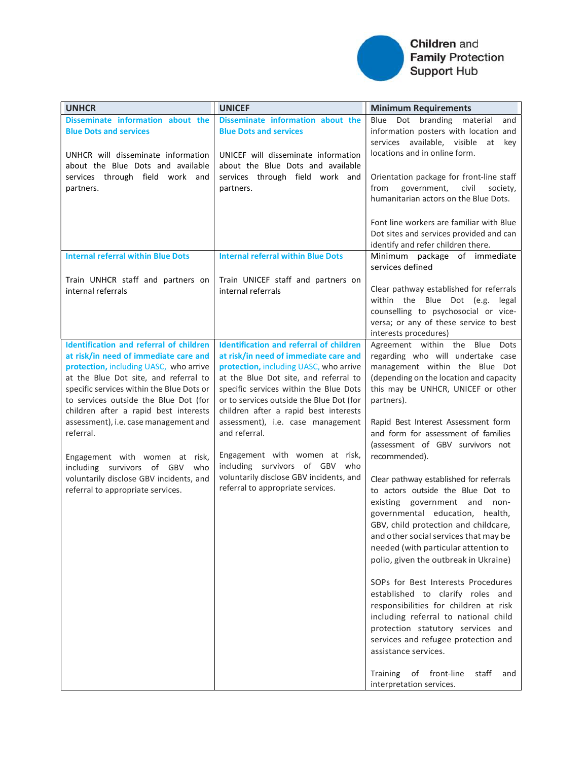

# Children and **Family Protection** Support Hub

| <b>UNHCR</b>                                                                                                                                                                                                                                                                                                                                                                                                                                                                                                           | <b>UNICEF</b>                                                                                                                                                                                                                                                                                                                                                                                                                                                                                                          | <b>Minimum Requirements</b>                                                                                                                                                                                                                                                                                                                                                                                                                                                                                                                                                                                                                                                                                                                                                                                                                                                                                                                                                                                 |
|------------------------------------------------------------------------------------------------------------------------------------------------------------------------------------------------------------------------------------------------------------------------------------------------------------------------------------------------------------------------------------------------------------------------------------------------------------------------------------------------------------------------|------------------------------------------------------------------------------------------------------------------------------------------------------------------------------------------------------------------------------------------------------------------------------------------------------------------------------------------------------------------------------------------------------------------------------------------------------------------------------------------------------------------------|-------------------------------------------------------------------------------------------------------------------------------------------------------------------------------------------------------------------------------------------------------------------------------------------------------------------------------------------------------------------------------------------------------------------------------------------------------------------------------------------------------------------------------------------------------------------------------------------------------------------------------------------------------------------------------------------------------------------------------------------------------------------------------------------------------------------------------------------------------------------------------------------------------------------------------------------------------------------------------------------------------------|
| Disseminate information about the<br><b>Blue Dots and services</b>                                                                                                                                                                                                                                                                                                                                                                                                                                                     | Disseminate information about the<br><b>Blue Dots and services</b>                                                                                                                                                                                                                                                                                                                                                                                                                                                     | Blue Dot branding material<br>and<br>information posters with location and<br>services available, visible<br>at key<br>locations and in online form.                                                                                                                                                                                                                                                                                                                                                                                                                                                                                                                                                                                                                                                                                                                                                                                                                                                        |
| UNHCR will disseminate information<br>about the Blue Dots and available<br>services through field work and<br>partners.                                                                                                                                                                                                                                                                                                                                                                                                | UNICEF will disseminate information<br>about the Blue Dots and available<br>services through field work and<br>partners.                                                                                                                                                                                                                                                                                                                                                                                               | Orientation package for front-line staff<br>from<br>government,<br>civil<br>society,<br>humanitarian actors on the Blue Dots.                                                                                                                                                                                                                                                                                                                                                                                                                                                                                                                                                                                                                                                                                                                                                                                                                                                                               |
|                                                                                                                                                                                                                                                                                                                                                                                                                                                                                                                        |                                                                                                                                                                                                                                                                                                                                                                                                                                                                                                                        | Font line workers are familiar with Blue<br>Dot sites and services provided and can<br>identify and refer children there.                                                                                                                                                                                                                                                                                                                                                                                                                                                                                                                                                                                                                                                                                                                                                                                                                                                                                   |
| <b>Internal referral within Blue Dots</b>                                                                                                                                                                                                                                                                                                                                                                                                                                                                              | <b>Internal referral within Blue Dots</b>                                                                                                                                                                                                                                                                                                                                                                                                                                                                              | Minimum package of immediate<br>services defined                                                                                                                                                                                                                                                                                                                                                                                                                                                                                                                                                                                                                                                                                                                                                                                                                                                                                                                                                            |
| Train UNHCR staff and partners on<br>internal referrals                                                                                                                                                                                                                                                                                                                                                                                                                                                                | Train UNICEF staff and partners on<br>internal referrals                                                                                                                                                                                                                                                                                                                                                                                                                                                               | Clear pathway established for referrals<br>within the Blue Dot (e.g. legal<br>counselling to psychosocial or vice-<br>versa; or any of these service to best<br>interests procedures)                                                                                                                                                                                                                                                                                                                                                                                                                                                                                                                                                                                                                                                                                                                                                                                                                       |
| <b>Identification and referral of children</b><br>at risk/in need of immediate care and<br>protection, including UASC, who arrive<br>at the Blue Dot site, and referral to<br>specific services within the Blue Dots or<br>to services outside the Blue Dot (for<br>children after a rapid best interests<br>assessment), i.e. case management and<br>referral.<br>Engagement with women at risk,<br>including survivors of GBV<br>who<br>voluntarily disclose GBV incidents, and<br>referral to appropriate services. | <b>Identification and referral of children</b><br>at risk/in need of immediate care and<br>protection, including UASC, who arrive<br>at the Blue Dot site, and referral to<br>specific services within the Blue Dots<br>or to services outside the Blue Dot (for<br>children after a rapid best interests<br>assessment), i.e. case management<br>and referral.<br>Engagement with women at risk,<br>including survivors of GBV<br>who<br>voluntarily disclose GBV incidents, and<br>referral to appropriate services. | Agreement within the Blue Dots<br>regarding who will undertake case<br>management within the Blue Dot<br>(depending on the location and capacity<br>this may be UNHCR, UNICEF or other<br>partners).<br>Rapid Best Interest Assessment form<br>and form for assessment of families<br>(assessment of GBV survivors not<br>recommended).<br>Clear pathway established for referrals<br>to actors outside the Blue Dot to<br>existing government and non-<br>governmental education, health,<br>GBV, child protection and childcare,<br>and other social services that may be<br>needed (with particular attention to<br>polio, given the outbreak in Ukraine)<br>SOPs for Best Interests Procedures<br>established to clarify roles and<br>responsibilities for children at risk<br>including referral to national child<br>protection statutory services and<br>services and refugee protection and<br>assistance services.<br><b>Training</b><br>of front-line<br>staff<br>and<br>interpretation services. |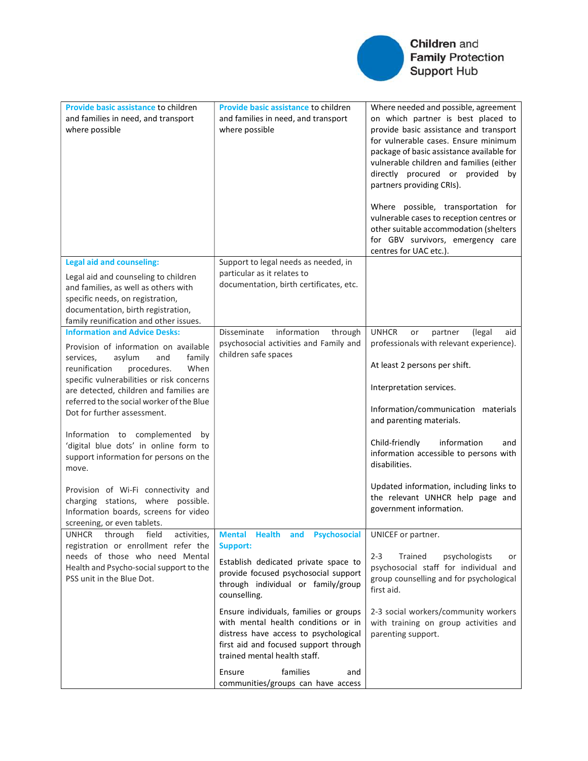

| Provide basic assistance to children<br>and families in need, and transport<br>where possible                                                                                                                                                                                                                                                                                                                                                                                                                                                                                                                           | Provide basic assistance to children<br>and families in need, and transport<br>where possible                                                                                                                                                                                                                                                                                                                                                          | Where needed and possible, agreement<br>on which partner is best placed to<br>provide basic assistance and transport<br>for vulnerable cases. Ensure minimum<br>package of basic assistance available for<br>vulnerable children and families (either<br>directly procured or provided by<br>partners providing CRIs).<br>Where possible, transportation for<br>vulnerable cases to reception centres or<br>other suitable accommodation (shelters<br>for GBV survivors, emergency care<br>centres for UAC etc.). |
|-------------------------------------------------------------------------------------------------------------------------------------------------------------------------------------------------------------------------------------------------------------------------------------------------------------------------------------------------------------------------------------------------------------------------------------------------------------------------------------------------------------------------------------------------------------------------------------------------------------------------|--------------------------------------------------------------------------------------------------------------------------------------------------------------------------------------------------------------------------------------------------------------------------------------------------------------------------------------------------------------------------------------------------------------------------------------------------------|-------------------------------------------------------------------------------------------------------------------------------------------------------------------------------------------------------------------------------------------------------------------------------------------------------------------------------------------------------------------------------------------------------------------------------------------------------------------------------------------------------------------|
| <b>Legal aid and counseling:</b><br>Legal aid and counseling to children<br>and families, as well as others with<br>specific needs, on registration,<br>documentation, birth registration,<br>family reunification and other issues.                                                                                                                                                                                                                                                                                                                                                                                    | Support to legal needs as needed, in<br>particular as it relates to<br>documentation, birth certificates, etc.                                                                                                                                                                                                                                                                                                                                         |                                                                                                                                                                                                                                                                                                                                                                                                                                                                                                                   |
| <b>Information and Advice Desks:</b><br>Provision of information on available<br>family<br>services,<br>asylum<br>and<br>reunification<br>procedures.<br>When<br>specific vulnerabilities or risk concerns<br>are detected, children and families are<br>referred to the social worker of the Blue<br>Dot for further assessment.<br>Information to complemented<br>by<br>'digital blue dots' in online form to<br>support information for persons on the<br>move.<br>Provision of Wi-Fi connectivity and<br>charging stations, where possible.<br>Information boards, screens for video<br>screening, or even tablets. | information<br>Disseminate<br>through<br>psychosocial activities and Family and<br>children safe spaces                                                                                                                                                                                                                                                                                                                                                | <b>UNHCR</b><br>partner<br>(legal<br>aid<br>or<br>professionals with relevant experience).<br>At least 2 persons per shift.<br>Interpretation services.<br>Information/communication materials<br>and parenting materials.<br>information<br>Child-friendly<br>and<br>information accessible to persons with<br>disabilities.<br>Updated information, including links to<br>the relevant UNHCR help page and<br>government information.                                                                           |
| activities,<br>UNHCR<br>through<br>field<br>registration or enrollment refer the<br>needs of those who need Mental<br>Health and Psycho-social support to the<br>PSS unit in the Blue Dot.                                                                                                                                                                                                                                                                                                                                                                                                                              | Mental Health and Psychosocial<br>Support:<br>Establish dedicated private space to<br>provide focused psychosocial support<br>through individual or family/group<br>counselling.<br>Ensure individuals, families or groups<br>with mental health conditions or in<br>distress have access to psychological<br>first aid and focused support through<br>trained mental health staff.<br>families<br>Ensure<br>and<br>communities/groups can have access | UNICEF or partner.<br>$2 - 3$<br>Trained<br>psychologists<br>or<br>psychosocial staff for individual and<br>group counselling and for psychological<br>first aid.<br>2-3 social workers/community workers<br>with training on group activities and<br>parenting support.                                                                                                                                                                                                                                          |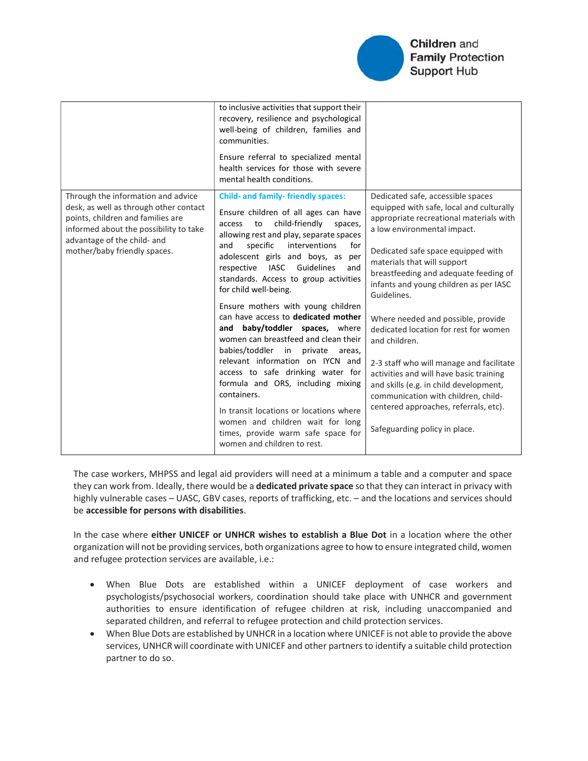

|                                                                                                                                                                                                                            | to inclusive activities that support their<br>recovery, resilience and psychological<br>well-being of children, families and<br>communities.<br>Ensure referral to specialized mental<br>health services for those with severe<br>mental health conditions.                                                                                                                                                                                                                                                                                                                                                                                                                                                                                                                                                                                      |                                                                                                                                                                                                                                                                                                                                                                                                                                                                                                                                                                                                                                                                                  |
|----------------------------------------------------------------------------------------------------------------------------------------------------------------------------------------------------------------------------|--------------------------------------------------------------------------------------------------------------------------------------------------------------------------------------------------------------------------------------------------------------------------------------------------------------------------------------------------------------------------------------------------------------------------------------------------------------------------------------------------------------------------------------------------------------------------------------------------------------------------------------------------------------------------------------------------------------------------------------------------------------------------------------------------------------------------------------------------|----------------------------------------------------------------------------------------------------------------------------------------------------------------------------------------------------------------------------------------------------------------------------------------------------------------------------------------------------------------------------------------------------------------------------------------------------------------------------------------------------------------------------------------------------------------------------------------------------------------------------------------------------------------------------------|
| Through the information and advice<br>desk, as well as through other contact<br>points, children and families are<br>informed about the possibility to take<br>advantage of the child- and<br>mother/baby friendly spaces. | <b>Child- and family- friendly spaces:</b><br>Ensure children of all ages can have<br>child-friendly<br>to<br>access<br>spaces,<br>allowing rest and play, separate spaces<br>and<br>specific<br>interventions<br>for<br>adolescent girls and boys, as per<br>IASC Guidelines<br>respective<br>and<br>standards. Access to group activities<br>for child well-being.<br>Ensure mothers with young children<br>can have access to dedicated mother<br>and baby/toddler spaces, where<br>women can breastfeed and clean their<br>babies/toddler in private areas,<br>relevant information on IYCN and<br>access to safe drinking water for<br>formula and ORS, including mixing<br>containers.<br>In transit locations or locations where<br>women and children wait for long<br>times, provide warm safe space for<br>women and children to rest. | Dedicated safe, accessible spaces<br>equipped with safe, local and culturally<br>appropriate recreational materials with<br>a low environmental impact.<br>Dedicated safe space equipped with<br>materials that will support<br>breastfeeding and adequate feeding of<br>infants and young children as per IASC<br>Guidelines.<br>Where needed and possible, provide<br>dedicated location for rest for women<br>and children.<br>2-3 staff who will manage and facilitate<br>activities and will have basic training<br>and skills (e.g. in child development,<br>communication with children, child-<br>centered approaches, referrals, etc).<br>Safeguarding policy in place. |

The case workers, MHPSS and legal aid providers will need at a minimum a table and a computer and space they can work from. Ideally, there would be a dedicated private space so that they can interact in privacy with highly vulnerable cases – UASC, GBV cases, reports of trafficking, etc. – and the locations and services should be accessible for persons with disabilities.

In the case where either UNICEF or UNHCR wishes to establish a Blue Dot in a location where the other organization will not be providing services, both organizations agree to how to ensure integrated child, women and refugee protection services are available, i.e.:

- When Blue Dots are established within a UNICEF deployment of case workers and psychologists/psychosocial workers, coordination should take place with UNHCR and government authorities to ensure identification of refugee children at risk, including unaccompanied and separated children, and referral to refugee protection and child protection services.
- When Blue Dots are established by UNHCR in a location where UNICEF is not able to provide the above services, UNHCR will coordinate with UNICEF and other partners to identify a suitable child protection partner to do so.